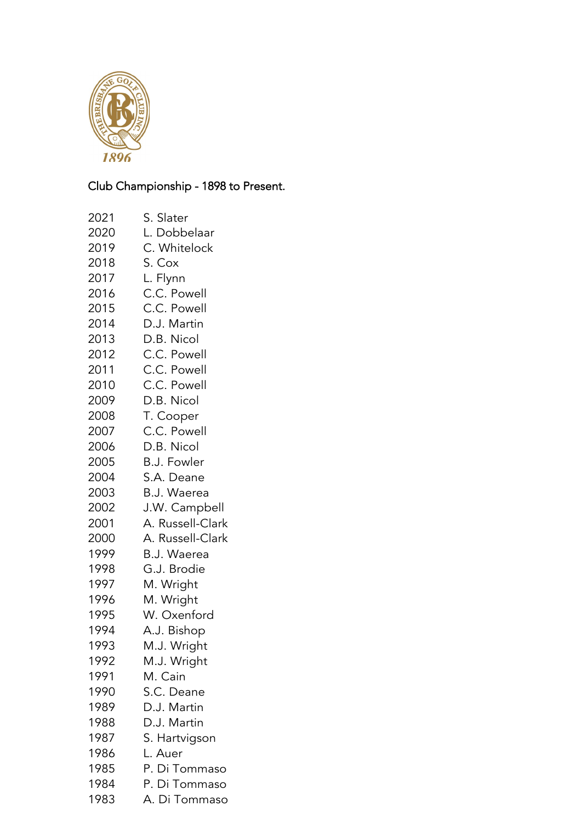

## Club Championship - 1898 to Present.

- S. Slater
- L. Dobbelaar
- C. Whitelock
- S. Cox
- L. Flynn
- C.C. Powell
- C.C. Powell
- D.J. Martin
- D.B. Nicol
- C.C. Powell
- C.C. Powell
- C.C. Powell
- D.B. Nicol
- T. Cooper
- C.C. Powell
- D.B. Nicol
- B.J. Fowler
- S.A. Deane
- B.J. Waerea
- J.W. Campbell
- A. Russell-Clark
- A. Russell-Clark
- B.J. Waerea
- G.J. Brodie
- M. Wright
- M. Wright
- W. Oxenford
- A.J. Bishop
- M.J. Wright
- M.J. Wright
- M. Cain
- S.C. Deane
- D.J. Martin
- D.J. Martin
- S. Hartvigson
- L. Auer
- P. Di Tommaso
- P. Di Tommaso
- A. Di Tommaso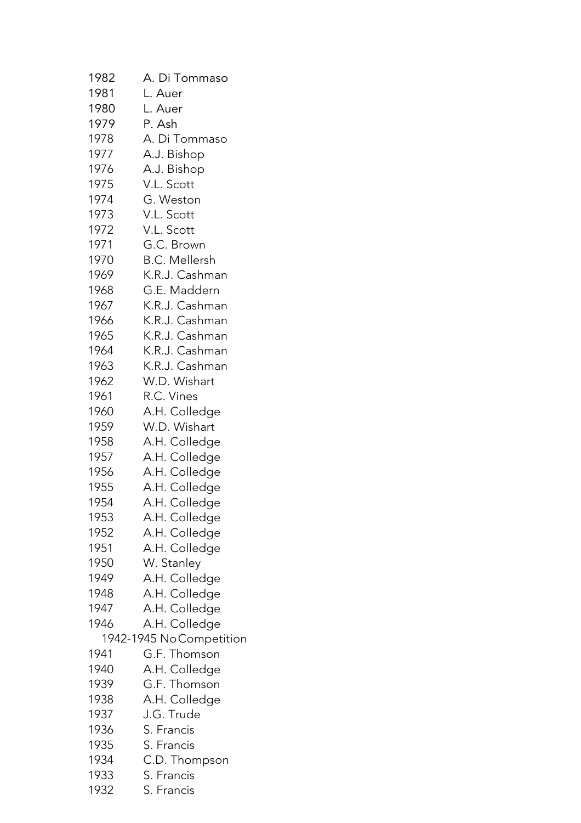| 1982 | A. Di Tommaso           |
|------|-------------------------|
| 1981 | L. Auer                 |
| 1980 | L. Auer                 |
| 1979 | P. Ash                  |
| 1978 | A. Di Tommaso           |
| 1977 | A.J. Bishop             |
| 1976 | A.J. Bishop             |
| 1975 | V.L. Scott              |
| 1974 | G. Weston               |
| 1973 | V.L. Scott              |
| 1972 | V.L. Scott              |
| 1971 | G.C. Brown              |
| 1970 | <b>B.C. Mellersh</b>    |
| 1969 | K.R.J. Cashman          |
| 1968 | G.E. Maddern            |
| 1967 | K.R.J. Cashman          |
| 1966 | K.R.J. Cashman          |
| 1965 | K.R.J. Cashman          |
| 1964 | K.R.J. Cashman          |
| 1963 | K.R.J. Cashman          |
| 1962 | W.D. Wishart            |
| 1961 | R.C. Vines              |
| 1960 | A.H. Colledge           |
| 1959 | W.D. Wishart            |
| 1958 | A.H. Colledge           |
| 1957 | A.H. Colledge           |
| 1956 | A.H. Colledge           |
| 1955 | A.H. Colledge           |
| 1954 | A.H. Colledge           |
| 1953 | A.H. Colledge           |
| 1952 | A.H. Colledge           |
| 1951 | A.H. Colledge           |
| 1950 | W. Stanley              |
| 1949 | A.H. Colledge           |
| 1948 | A.H. Colledge           |
| 1947 | A.H. Colledge           |
| 1946 | A.H. Colledge           |
|      | 1942-1945 NoCompetition |
| 1941 | G.F. Thomson            |
| 1940 | A.H. Colledge           |
| 1939 | G.F. Thomson            |
| 1938 | A.H. Colledge           |
| 1937 | J.G. Trude              |
| 1936 | S. Francis              |
| 1935 | S. Francis              |
| 1934 | C.D. Thompson           |
| 1933 | S. Francis              |

S. Francis